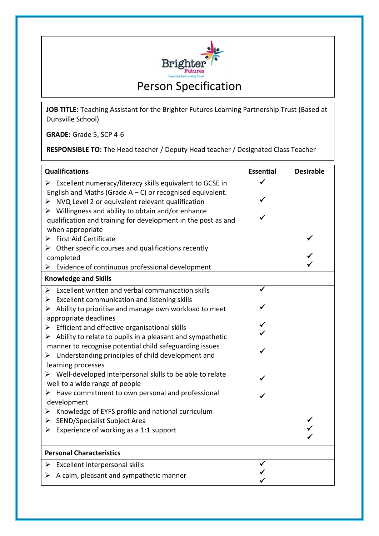

**JOB TITLE:** Teaching Assistant for the Brighter Futures Learning Partnership Trust (Based at Dunsville School)

**GRADE:** Grade 5, SCP 4-6

**RESPONSIBLE TO:** The Head teacher / Deputy Head teacher / Designated Class Teacher

| <b>Qualifications</b>                                                      | <b>Essential</b> | <b>Desirable</b> |
|----------------------------------------------------------------------------|------------------|------------------|
| $\triangleright$ Excellent numeracy/literacy skills equivalent to GCSE in  |                  |                  |
| English and Maths (Grade $A - C$ ) or recognised equivalent.               |                  |                  |
| $\triangleright$ NVQ Level 2 or equivalent relevant qualification          | ✓                |                  |
| $\triangleright$ Willingness and ability to obtain and/or enhance          |                  |                  |
| qualification and training for development in the post as and              |                  |                  |
| when appropriate                                                           |                  |                  |
| $\triangleright$ First Aid Certificate                                     |                  |                  |
| $\triangleright$ Other specific courses and qualifications recently        |                  |                  |
| completed                                                                  |                  |                  |
| Evidence of continuous professional development<br>➤                       |                  |                  |
| <b>Knowledge and Skills</b>                                                |                  |                  |
| $\triangleright$ Excellent written and verbal communication skills         |                  |                  |
| $\triangleright$ Excellent communication and listening skills              |                  |                  |
| $\triangleright$ Ability to prioritise and manage own workload to meet     |                  |                  |
| appropriate deadlines                                                      |                  |                  |
| $\triangleright$ Efficient and effective organisational skills             |                  |                  |
| $\triangleright$ Ability to relate to pupils in a pleasant and sympathetic |                  |                  |
| manner to recognise potential child safeguarding issues                    |                  |                  |
| $\triangleright$ Understanding principles of child development and         |                  |                  |
| learning processes                                                         |                  |                  |
| $\triangleright$ Well-developed interpersonal skills to be able to relate  |                  |                  |
| well to a wide range of people                                             |                  |                  |
| $\triangleright$ Have commitment to own personal and professional          |                  |                  |
| development                                                                |                  |                  |
| $\triangleright$ Knowledge of EYFS profile and national curriculum         |                  |                  |
| > SEND/Specialist Subject Area                                             |                  |                  |
| Experience of working as a 1:1 support                                     |                  |                  |
|                                                                            |                  |                  |
| <b>Personal Characteristics</b>                                            |                  |                  |
| Excellent interpersonal skills<br>➤                                        |                  |                  |
| $\triangleright$ A calm, pleasant and sympathetic manner                   |                  |                  |